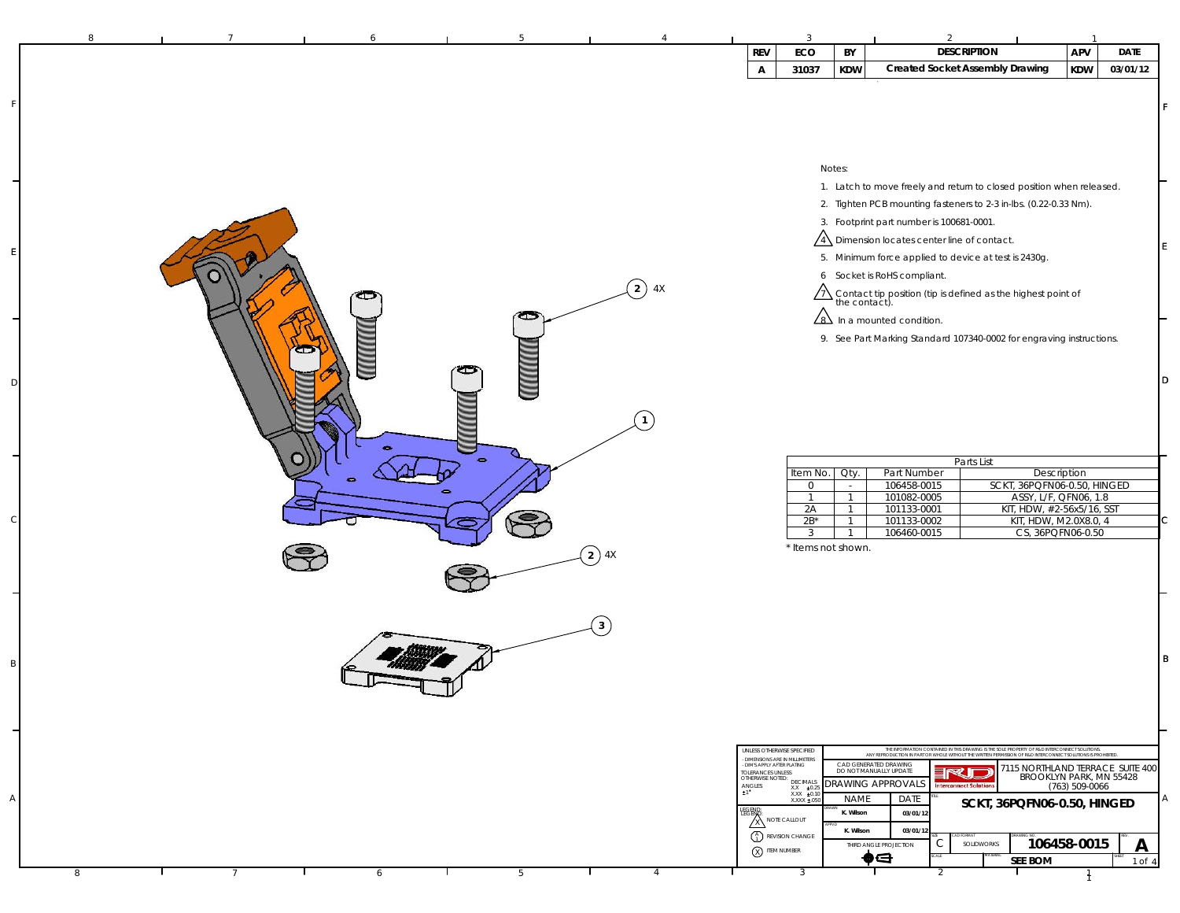| 8 |  | 6                        | 5               | $\Delta$             |                                                               | 3                                                                                                                                                                             |                                  |                                                                                                  |                                                                                                                                                                                                             |                         |             |     |
|---|--|--------------------------|-----------------|----------------------|---------------------------------------------------------------|-------------------------------------------------------------------------------------------------------------------------------------------------------------------------------|----------------------------------|--------------------------------------------------------------------------------------------------|-------------------------------------------------------------------------------------------------------------------------------------------------------------------------------------------------------------|-------------------------|-------------|-----|
|   |  |                          |                 |                      | <b>REV</b>                                                    | ECO                                                                                                                                                                           | BY                               |                                                                                                  | <b>DESCRIPTION</b>                                                                                                                                                                                          | APV                     | <b>DATE</b> |     |
|   |  |                          |                 |                      | $\mathsf{A}$                                                  | 31037                                                                                                                                                                         | <b>KDW</b>                       |                                                                                                  | <b>Created Socket Assembly Drawing</b>                                                                                                                                                                      | KDW                     | 03/01/12    |     |
|   |  |                          |                 |                      |                                                               |                                                                                                                                                                               |                                  |                                                                                                  |                                                                                                                                                                                                             |                         |             |     |
|   |  |                          |                 |                      |                                                               |                                                                                                                                                                               | Notes:                           |                                                                                                  |                                                                                                                                                                                                             |                         |             |     |
|   |  |                          |                 |                      |                                                               |                                                                                                                                                                               |                                  |                                                                                                  | 1. Latch to move freely and return to closed position when released.                                                                                                                                        |                         |             |     |
|   |  |                          |                 |                      |                                                               |                                                                                                                                                                               |                                  |                                                                                                  | 2. Tighten PCB mounting fasteners to 2-3 in-lbs. (0.22-0.33 Nm).                                                                                                                                            |                         |             |     |
|   |  |                          |                 |                      |                                                               |                                                                                                                                                                               |                                  | 3. Footprint part number is 100681-0001.<br>$\sqrt{4}$ Dimension locates center line of contact. |                                                                                                                                                                                                             |                         |             |     |
|   |  |                          |                 |                      |                                                               |                                                                                                                                                                               |                                  | 5. Minimum force applied to device at test is 2430g.                                             |                                                                                                                                                                                                             |                         |             |     |
|   |  |                          |                 |                      |                                                               |                                                                                                                                                                               |                                  | 6 Socket is RoHS compliant.                                                                      |                                                                                                                                                                                                             |                         |             |     |
|   |  |                          |                 | $\left( 2\right)$ 4X |                                                               |                                                                                                                                                                               |                                  |                                                                                                  | $\overbrace{7\lambda}$ Contact tip position (tip is defined as the highest point of                                                                                                                         |                         |             |     |
|   |  |                          | œ               |                      |                                                               |                                                                                                                                                                               |                                  | $\angle$ 8) In a mounted condition.                                                              |                                                                                                                                                                                                             |                         |             |     |
|   |  |                          |                 |                      |                                                               |                                                                                                                                                                               |                                  |                                                                                                  | 9. See Part Marking Standard 107340-0002 for engraving instructions.                                                                                                                                        |                         |             |     |
|   |  |                          |                 |                      |                                                               |                                                                                                                                                                               |                                  |                                                                                                  |                                                                                                                                                                                                             |                         |             |     |
|   |  |                          |                 |                      |                                                               |                                                                                                                                                                               |                                  |                                                                                                  |                                                                                                                                                                                                             |                         |             | ID. |
|   |  |                          |                 |                      |                                                               |                                                                                                                                                                               |                                  |                                                                                                  |                                                                                                                                                                                                             |                         |             |     |
|   |  |                          |                 | $\mathbf{1}$         |                                                               |                                                                                                                                                                               |                                  |                                                                                                  |                                                                                                                                                                                                             |                         |             |     |
|   |  | $\overline{\phantom{a}}$ |                 |                      |                                                               |                                                                                                                                                                               |                                  |                                                                                                  |                                                                                                                                                                                                             |                         |             |     |
|   |  |                          | $\bullet$       |                      |                                                               | Item No.                                                                                                                                                                      | Qty.                             | Part Number                                                                                      | Parts List                                                                                                                                                                                                  | Description             |             |     |
|   |  | <b>CO</b>                |                 |                      |                                                               | $\overline{0}$                                                                                                                                                                | $\sim$                           | 106458-0015                                                                                      | SCKT, 36PQFN06-0.50, HINGED                                                                                                                                                                                 |                         |             |     |
|   |  |                          |                 |                      |                                                               | $\mathbf{1}$<br>2A                                                                                                                                                            | $\overline{1}$<br>$\overline{1}$ | 101082-0005<br>101133-0001                                                                       | KIT, HDW, #2-56x5/16, SST                                                                                                                                                                                   | ASSY, L/F, QFN06, 1.8   |             |     |
|   |  |                          |                 |                      |                                                               | $2B^*$<br>$\mathbf{3}$                                                                                                                                                        | $\overline{1}$<br>$\overline{1}$ | 101133-0002<br>106460-0015                                                                       | KIT, HDW, M2.0X8.0, 4                                                                                                                                                                                       | CS, 36PQFN06-0.50       |             |     |
|   |  |                          |                 | $\left( 2\right)$ 4X |                                                               |                                                                                                                                                                               | * Items not shown.               |                                                                                                  |                                                                                                                                                                                                             |                         |             |     |
|   |  |                          |                 |                      |                                                               |                                                                                                                                                                               |                                  |                                                                                                  |                                                                                                                                                                                                             |                         |             |     |
|   |  |                          |                 |                      |                                                               |                                                                                                                                                                               |                                  |                                                                                                  |                                                                                                                                                                                                             |                         |             |     |
|   |  |                          |                 | $\mathbf{3}$         |                                                               |                                                                                                                                                                               |                                  |                                                                                                  |                                                                                                                                                                                                             |                         |             |     |
|   |  |                          |                 |                      |                                                               |                                                                                                                                                                               |                                  |                                                                                                  |                                                                                                                                                                                                             |                         |             |     |
|   |  |                          |                 |                      |                                                               |                                                                                                                                                                               |                                  |                                                                                                  |                                                                                                                                                                                                             |                         |             | B   |
|   |  |                          |                 |                      |                                                               |                                                                                                                                                                               |                                  |                                                                                                  |                                                                                                                                                                                                             |                         |             |     |
|   |  |                          |                 |                      |                                                               |                                                                                                                                                                               |                                  |                                                                                                  |                                                                                                                                                                                                             |                         |             |     |
|   |  |                          |                 |                      |                                                               |                                                                                                                                                                               |                                  |                                                                                                  |                                                                                                                                                                                                             |                         |             |     |
|   |  |                          |                 |                      |                                                               | UNLESS OTHERWISE SPECIFIED<br>- DIMENSIONS ARE IN MILLIMETERS<br>- DIM'S APPLY AFTER PLATING                                                                                  |                                  | CAD GENERATED DRAWING                                                                            | THE INFORMATION CONTAINED IN THE DRAWING IS THE SOLE PROPERTY OF R&D INTERCONNECT SOLUTIONS.<br>ANY REPRODUCTION IN PART OR WHOLE WITHOUT THE WRITEN PERMISSION OF R&D INTERCONNECT SOLUTIONS IS PROHIBITED |                         |             |     |
|   |  |                          |                 |                      | TOLERANCES UNLESS<br>OTHERWISE NOTED:                         | DECIMALS                                                                                                                                                                      |                                  | DO NOT MANUALLY UPDATE<br>DRAWING APPROVALS                                                      | 7115 NORTHLAND TERRACE SUITE 400<br>RJD<br>nterconnect Solution                                                                                                                                             | BROOKLYN PARK, MN 55428 |             |     |
|   |  |                          |                 |                      | $\begin{array}{ll} \textsf{ANGLES} \\ \texttt{1} \end{array}$ | $\begin{array}{r}$ XX<br>$\begin{array}{r} \times \times \ \pm 0.25 \\ \text{X} \times \times \ \pm 0.10 \\ \text{X} \times \times \times \ \pm 0.50 \end{array} \end{array}$ | <b>NAME</b>                      | DATE                                                                                             | SCKT, 36PQFN06-0.50, HINGED                                                                                                                                                                                 |                         |             |     |
|   |  |                          |                 |                      | LEGEND<br>LEGEM                                               | $\overline{\mathbf{X}}$ NOTE CALLOUT                                                                                                                                          | K. Wilson<br>K. Wilson           | 03/01/12<br>03/01/12                                                                             |                                                                                                                                                                                                             |                         |             |     |
|   |  |                          |                 |                      | X ITEM NUMBER                                                 | $\binom{A}{1}$ REVISION CHANGE                                                                                                                                                |                                  | C<br>THIRD ANGLE PROJECTION                                                                      | SOLIDWORKS                                                                                                                                                                                                  | 106458-0015             | Α           |     |
| 8 |  | 6                        | $5\overline{)}$ | $\overline{4}$       |                                                               | $\overline{3}$                                                                                                                                                                |                                  | $\bullet$ e<br>$\mathcal{P}$                                                                     | <b>SEE BOM</b>                                                                                                                                                                                              |                         | 1 of 4      |     |
|   |  |                          |                 |                      |                                                               |                                                                                                                                                                               |                                  |                                                                                                  |                                                                                                                                                                                                             |                         |             |     |

F

E

D

C

B

A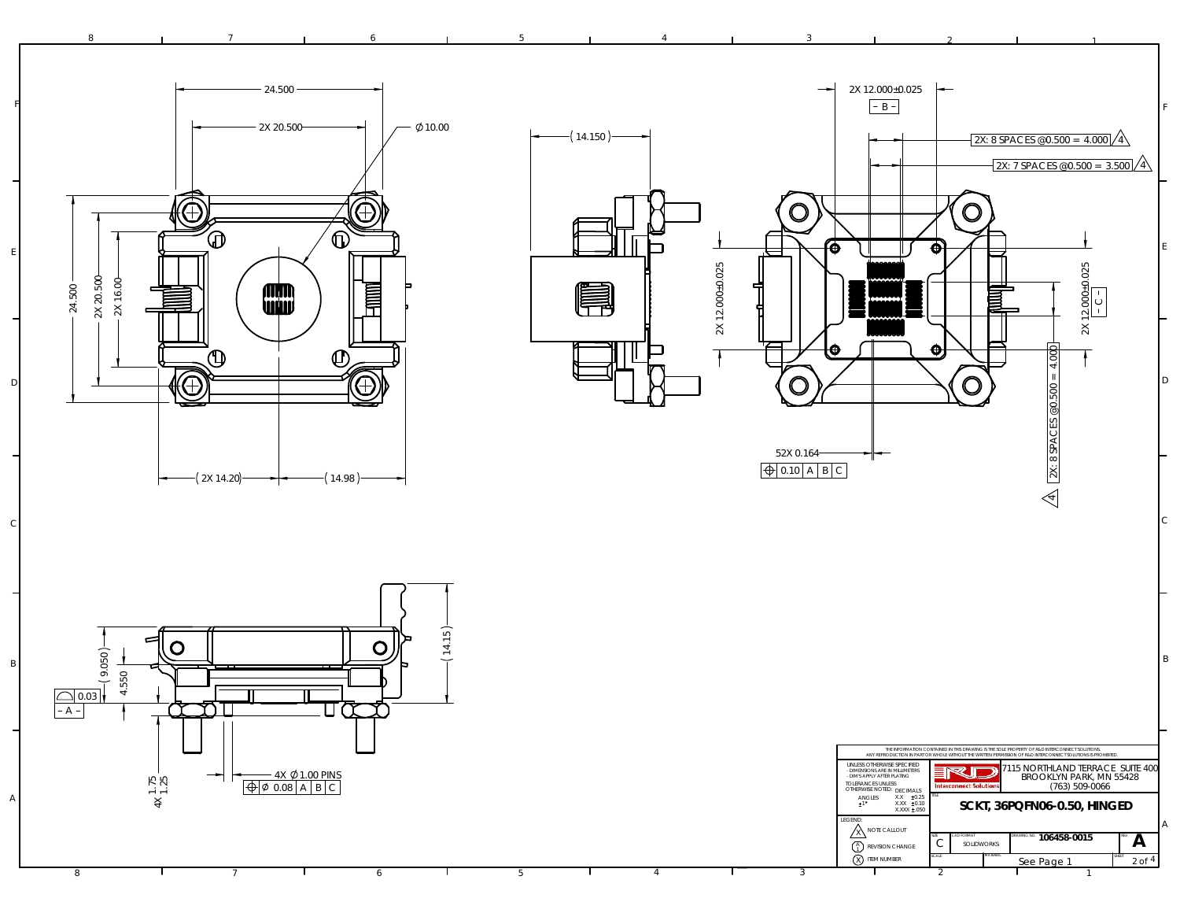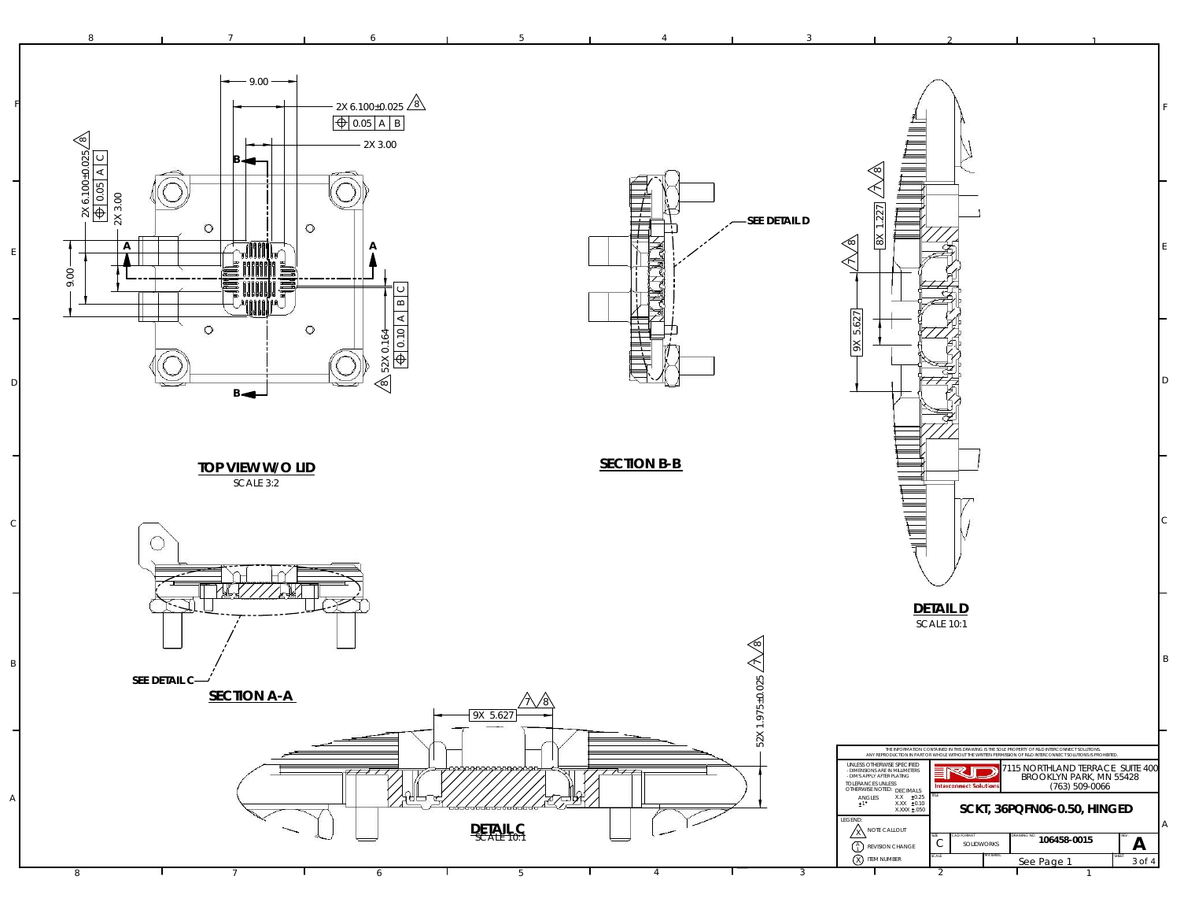